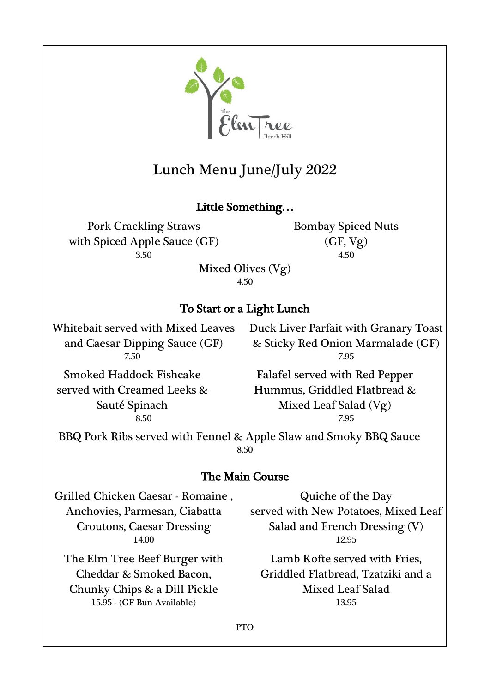

# Lunch Menu June/July 2022

# Little Something…

Pork Crackling Straws with Spiced Apple Sauce (GF) 3.50 4.50

Bombay Spiced Nuts (GF, Vg)

Mixed Olives (Vg) 4.50

# To Start or a Light Lunch

Whitebait served with Mixed Leaves and Caesar Dipping Sauce (GF)

Duck Liver Parfait with Granary Toast & Sticky Red Onion Marmalade (GF) 7.50 7.95

Smoked Haddock Fishcake served with Creamed Leeks & Sauté Spinach

Falafel served with Red Pepper Hummus, Griddled Flatbread & Mixed Leaf Salad (Vg) 8.50 7.95

BBQ Pork Ribs served with Fennel & Apple Slaw and Smoky BBQ Sauce 8.50

# The Main Course

Grilled Chicken Caesar - Romaine , Anchovies, Parmesan, Ciabatta Croutons, Caesar Dressing

The Elm Tree Beef Burger with Cheddar & Smoked Bacon, Chunky Chips & a Dill Pickle 15.95 - (GF Bun Available) 13.95

Quiche of the Day served with New Potatoes, Mixed Leaf Salad and French Dressing (V) 14.00 12.95

> Lamb Kofte served with Fries, Griddled Flatbread, Tzatziki and a Mixed Leaf Salad

PTO